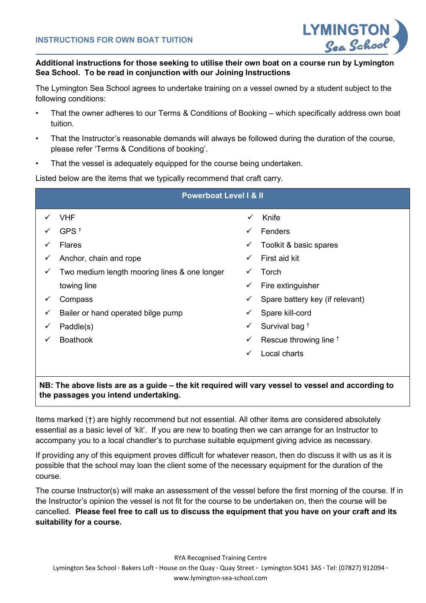

## **Additional instructions for those seeking to utilise their own boat on a course run by Lymington Sea School. To be read in conjunction with our Joining Instructions**

The Lymington Sea School agrees to undertake training on a vessel owned by a student subject to the following conditions:

- That the owner adheres to our Terms & Conditions of Booking which specifically address own boat tuition.
- That the Instructor's reasonable demands will always be followed during the duration of the course, please refer 'Terms & Conditions of booking'.
- That the vessel is adequately equipped for the course being undertaken.

Listed below are the items that we typically recommend that craft carry.

| <b>Powerboat Level I &amp; II</b> |                                              |              |                                 |
|-----------------------------------|----------------------------------------------|--------------|---------------------------------|
|                                   | VHF                                          | $\checkmark$ | Knife                           |
|                                   | GPS $†$                                      | ✓            | Fenders                         |
| $\checkmark$                      | <b>Flares</b>                                | ✓            | Toolkit & basic spares          |
| $\checkmark$                      | Anchor, chain and rope                       | $\checkmark$ | First aid kit                   |
| $\checkmark$                      | Two medium length mooring lines & one longer | ✓            | Torch                           |
|                                   | towing line                                  | ✓            | Fire extinguisher               |
| ✓                                 | Compass                                      | ✓            | Spare battery key (if relevant) |
| $\checkmark$                      | Bailer or hand operated bilge pump           | $\checkmark$ | Spare kill-cord                 |
| $\checkmark$                      | Paddle(s)                                    | $\checkmark$ | Survival bag <sup>†</sup>       |
| ✓                                 | <b>Boathook</b>                              | ✓            | Rescue throwing line $†$        |
|                                   |                                              | ✓            | Local charts                    |
|                                   |                                              |              |                                 |

## **NB: The above lists are as a guide – the kit required will vary vessel to vessel and according to the passages you intend undertaking.**

Items marked (†) are highly recommend but not essential. All other items are considered absolutely essential as a basic level of 'kit'. If you are new to boating then we can arrange for an Instructor to accompany you to a local chandler's to purchase suitable equipment giving advice as necessary.

If providing any of this equipment proves difficult for whatever reason, then do discuss it with us as it is possible that the school may loan the client some of the necessary equipment for the duration of the course.

The course Instructor(s) will make an assessment of the vessel before the first morning of the course. If in the Instructor's opinion the vessel is not fit for the course to be undertaken on, then the course will be cancelled. **Please feel free to call us to discuss the equipment that you have on your craft and its suitability for a course.**